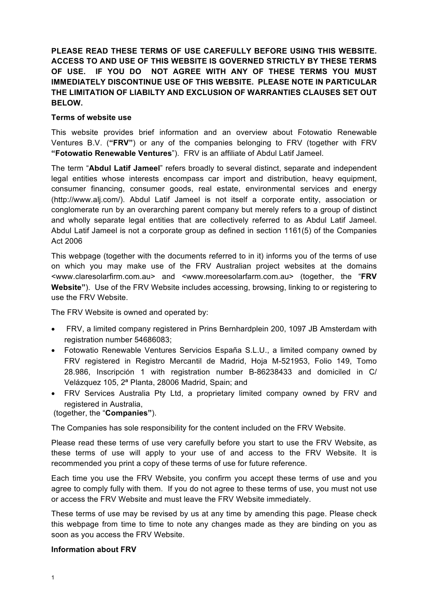**PLEASE READ THESE TERMS OF USE CAREFULLY BEFORE USING THIS WEBSITE. ACCESS TO AND USE OF THIS WEBSITE IS GOVERNED STRICTLY BY THESE TERMS OF USE. IF YOU DO NOT AGREE WITH ANY OF THESE TERMS YOU MUST IMMEDIATELY DISCONTINUE USE OF THIS WEBSITE. PLEASE NOTE IN PARTICULAR THE LIMITATION OF LIABILTY AND EXCLUSION OF WARRANTIES CLAUSES SET OUT BELOW.**

### **Terms of website use**

This website provides brief information and an overview about Fotowatio Renewable Ventures B.V. (**"FRV"**) or any of the companies belonging to FRV (together with FRV **"Fotowatio Renewable Ventures**"). FRV is an affiliate of Abdul Latif Jameel.

The term "**Abdul Latif Jameel**" refers broadly to several distinct, separate and independent legal entities whose interests encompass car import and distribution, heavy equipment, consumer financing, consumer goods, real estate, environmental services and energy (http://www.alj.com/). Abdul Latif Jameel is not itself a corporate entity, association or conglomerate run by an overarching parent company but merely refers to a group of distinct and wholly separate legal entities that are collectively referred to as Abdul Latif Jameel. Abdul Latif Jameel is not a corporate group as defined in section 1161(5) of the Companies Act 2006

This webpage (together with the documents referred to in it) informs you of the terms of use on which you may make use of the FRV Australian project websites at the domains <www.claresolarfirm.com.au> and <www.moreesolarfarm.com.au> (together, the "**FRV Website"**). Use of the FRV Website includes accessing, browsing, linking to or registering to use the FRV Website.

The FRV Website is owned and operated by:

- FRV, a limited company registered in Prins Bernhardplein 200, 1097 JB Amsterdam with registration number 54686083;
- Fotowatio Renewable Ventures Servicios España S.L.U., a limited company owned by FRV registered in Registro Mercantil de Madrid, Hoja M-521953, Folio 149, Tomo 28.986, Inscripción 1 with registration number B-86238433 and domiciled in C/ Velázquez 105, 2ª Planta, 28006 Madrid, Spain; and
- FRV Services Australia Pty Ltd, a proprietary limited company owned by FRV and registered in Australia,

(together, the "**Companies"**).

The Companies has sole responsibility for the content included on the FRV Website.

Please read these terms of use very carefully before you start to use the FRV Website, as these terms of use will apply to your use of and access to the FRV Website. It is recommended you print a copy of these terms of use for future reference.

Each time you use the FRV Website, you confirm you accept these terms of use and you agree to comply fully with them. If you do not agree to these terms of use, you must not use or access the FRV Website and must leave the FRV Website immediately.

These terms of use may be revised by us at any time by amending this page. Please check this webpage from time to time to note any changes made as they are binding on you as soon as you access the FRV Website.

#### **Information about FRV**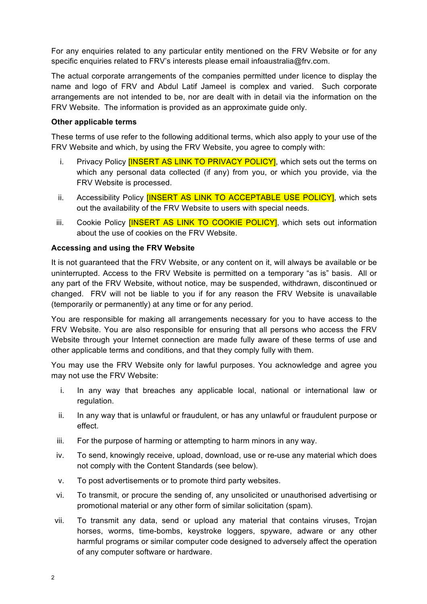For any enquiries related to any particular entity mentioned on the FRV Website or for any specific enquiries related to FRV's interests please email infoaustralia@frv.com.

The actual corporate arrangements of the companies permitted under licence to display the name and logo of FRV and Abdul Latif Jameel is complex and varied. Such corporate arrangements are not intended to be, nor are dealt with in detail via the information on the FRV Website. The information is provided as an approximate guide only.

# **Other applicable terms**

These terms of use refer to the following additional terms, which also apply to your use of the FRV Website and which, by using the FRV Website, you agree to comply with:

- i. Privacy Policy **[INSERT AS LINK TO PRIVACY POLICY]**, which sets out the terms on which any personal data collected (if any) from you, or which you provide, via the FRV Website is processed.
- ii. Accessibility Policy **[INSERT AS LINK TO ACCEPTABLE USE POLICY]**, which sets out the availability of the FRV Website to users with special needs.
- iii. Cookie Policy **[INSERT AS LINK TO COOKIE POLICY]**, which sets out information about the use of cookies on the FRV Website.

# **Accessing and using the FRV Website**

It is not guaranteed that the FRV Website, or any content on it, will always be available or be uninterrupted. Access to the FRV Website is permitted on a temporary "as is" basis. All or any part of the FRV Website, without notice, may be suspended, withdrawn, discontinued or changed. FRV will not be liable to you if for any reason the FRV Website is unavailable (temporarily or permanently) at any time or for any period.

You are responsible for making all arrangements necessary for you to have access to the FRV Website. You are also responsible for ensuring that all persons who access the FRV Website through your Internet connection are made fully aware of these terms of use and other applicable terms and conditions, and that they comply fully with them.

You may use the FRV Website only for lawful purposes. You acknowledge and agree you may not use the FRV Website:

- i. In any way that breaches any applicable local, national or international law or regulation.
- ii. In any way that is unlawful or fraudulent, or has any unlawful or fraudulent purpose or effect.
- iii. For the purpose of harming or attempting to harm minors in any way.
- iv. To send, knowingly receive, upload, download, use or re-use any material which does not comply with the Content Standards (see below).
- v. To post advertisements or to promote third party websites.
- vi. To transmit, or procure the sending of, any unsolicited or unauthorised advertising or promotional material or any other form of similar solicitation (spam).
- vii. To transmit any data, send or upload any material that contains viruses, Trojan horses, worms, time-bombs, keystroke loggers, spyware, adware or any other harmful programs or similar computer code designed to adversely affect the operation of any computer software or hardware.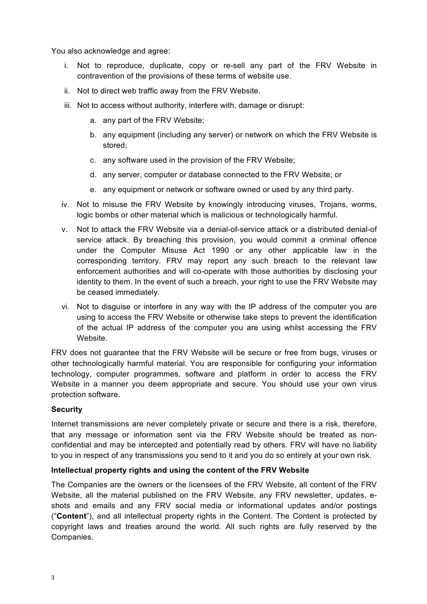You also acknowledge and agree:

- i. Not to reproduce, duplicate, copy or re-sell any part of the FRV Website in contravention of the provisions of these terms of website use.
- ii. Not to direct web traffic away from the FRV Website.
- iii. Not to access without authority, interfere with, damage or disrupt:
	- a. any part of the FRV Website;
	- b. any equipment (including any server) or network on which the FRV Website is stored;
	- c. any software used in the provision of the FRV Website;
	- d. any server, computer or database connected to the FRV Website; or
	- e. any equipment or network or software owned or used by any third party.
- iv. Not to misuse the FRV Website by knowingly introducing viruses, Trojans, worms, logic bombs or other material which is malicious or technologically harmful.
- v. Not to attack the FRV Website via a denial-of-service attack or a distributed denial-of service attack. By breaching this provision, you would commit a criminal offence under the Computer Misuse Act 1990 or any other applicable law in the corresponding territory. FRV may report any such breach to the relevant law enforcement authorities and will co-operate with those authorities by disclosing your identity to them. In the event of such a breach, your right to use the FRV Website may be ceased immediately.
- vi. Not to disguise or interfere in any way with the IP address of the computer you are using to access the FRV Website or otherwise take steps to prevent the identification of the actual IP address of the computer you are using whilst accessing the FRV Website.

FRV does not guarantee that the FRV Website will be secure or free from bugs, viruses or other technologically harmful material. You are responsible for configuring your information technology, computer programmes, software and platform in order to access the FRV Website in a manner you deem appropriate and secure. You should use your own virus protection software.

# **Security**

Internet transmissions are never completely private or secure and there is a risk, therefore, that any message or information sent via the FRV Website should be treated as nonconfidential and may be intercepted and potentially read by others. FRV will have no liability to you in respect of any transmissions you send to it and you do so entirely at your own risk.

# **Intellectual property rights and using the content of the FRV Website**

The Companies are the owners or the licensees of the FRV Website, all content of the FRV Website, all the material published on the FRV Website, any FRV newsletter, updates, eshots and emails and any FRV social media or informational updates and/or postings ("**Content**"), and all intellectual property rights in the Content. The Content is protected by copyright laws and treaties around the world. All such rights are fully reserved by the Companies.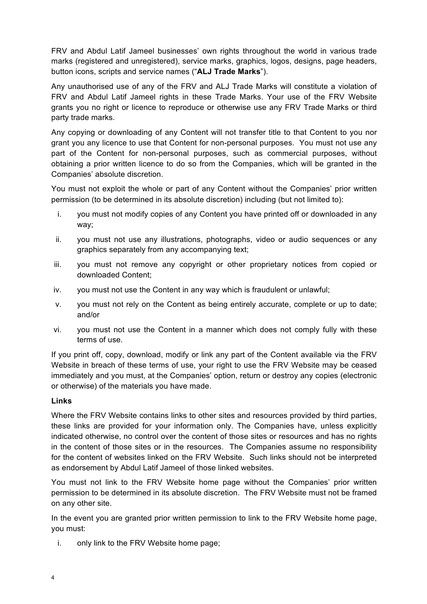FRV and Abdul Latif Jameel businesses' own rights throughout the world in various trade marks (registered and unregistered), service marks, graphics, logos, designs, page headers, button icons, scripts and service names ("**ALJ Trade Marks**").

Any unauthorised use of any of the FRV and ALJ Trade Marks will constitute a violation of FRV and Abdul Latif Jameel rights in these Trade Marks. Your use of the FRV Website grants you no right or licence to reproduce or otherwise use any FRV Trade Marks or third party trade marks.

Any copying or downloading of any Content will not transfer title to that Content to you nor grant you any licence to use that Content for non-personal purposes. You must not use any part of the Content for non-personal purposes, such as commercial purposes, without obtaining a prior written licence to do so from the Companies, which will be granted in the Companies' absolute discretion.

You must not exploit the whole or part of any Content without the Companies' prior written permission (to be determined in its absolute discretion) including (but not limited to):

- i. you must not modify copies of any Content you have printed off or downloaded in any way;
- ii. you must not use any illustrations, photographs, video or audio sequences or any graphics separately from any accompanying text;
- iii. you must not remove any copyright or other proprietary notices from copied or downloaded Content;
- iv. you must not use the Content in any way which is fraudulent or unlawful;
- v. you must not rely on the Content as being entirely accurate, complete or up to date; and/or
- vi. you must not use the Content in a manner which does not comply fully with these terms of use.

If you print off, copy, download, modify or link any part of the Content available via the FRV Website in breach of these terms of use, your right to use the FRV Website may be ceased immediately and you must, at the Companies' option, return or destroy any copies (electronic or otherwise) of the materials you have made.

# **Links**

Where the FRV Website contains links to other sites and resources provided by third parties, these links are provided for your information only. The Companies have, unless explicitly indicated otherwise, no control over the content of those sites or resources and has no rights in the content of those sites or in the resources. The Companies assume no responsibility for the content of websites linked on the FRV Website. Such links should not be interpreted as endorsement by Abdul Latif Jameel of those linked websites.

You must not link to the FRV Website home page without the Companies' prior written permission to be determined in its absolute discretion. The FRV Website must not be framed on any other site.

In the event you are granted prior written permission to link to the FRV Website home page, you must:

i. only link to the FRV Website home page;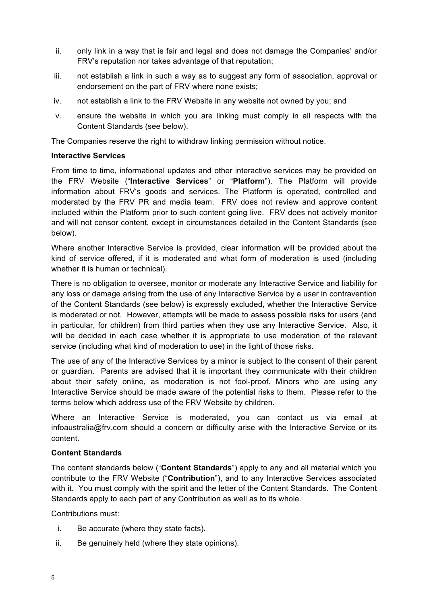- ii. only link in a way that is fair and legal and does not damage the Companies' and/or FRV's reputation nor takes advantage of that reputation;
- iii. not establish a link in such a way as to suggest any form of association, approval or endorsement on the part of FRV where none exists;
- iv. not establish a link to the FRV Website in any website not owned by you; and
- v. ensure the website in which you are linking must comply in all respects with the Content Standards (see below).

The Companies reserve the right to withdraw linking permission without notice.

### **Interactive Services**

From time to time, informational updates and other interactive services may be provided on the FRV Website ("**Interactive Services**" or "**Platform**"). The Platform will provide information about FRV's goods and services. The Platform is operated, controlled and moderated by the FRV PR and media team. FRV does not review and approve content included within the Platform prior to such content going live. FRV does not actively monitor and will not censor content, except in circumstances detailed in the Content Standards (see below).

Where another Interactive Service is provided, clear information will be provided about the kind of service offered, if it is moderated and what form of moderation is used (including whether it is human or technical).

There is no obligation to oversee, monitor or moderate any Interactive Service and liability for any loss or damage arising from the use of any Interactive Service by a user in contravention of the Content Standards (see below) is expressly excluded, whether the Interactive Service is moderated or not. However, attempts will be made to assess possible risks for users (and in particular, for children) from third parties when they use any Interactive Service. Also, it will be decided in each case whether it is appropriate to use moderation of the relevant service (including what kind of moderation to use) in the light of those risks.

The use of any of the Interactive Services by a minor is subject to the consent of their parent or guardian. Parents are advised that it is important they communicate with their children about their safety online, as moderation is not fool-proof. Minors who are using any Interactive Service should be made aware of the potential risks to them. Please refer to the terms below which address use of the FRV Website by children.

Where an Interactive Service is moderated, you can contact us via email at infoaustralia@frv.com should a concern or difficulty arise with the Interactive Service or its content.

#### **Content Standards**

The content standards below ("**Content Standards**") apply to any and all material which you contribute to the FRV Website ("**Contribution**"), and to any Interactive Services associated with it. You must comply with the spirit and the letter of the Content Standards. The Content Standards apply to each part of any Contribution as well as to its whole.

Contributions must:

- i. Be accurate (where they state facts).
- ii. Be genuinely held (where they state opinions).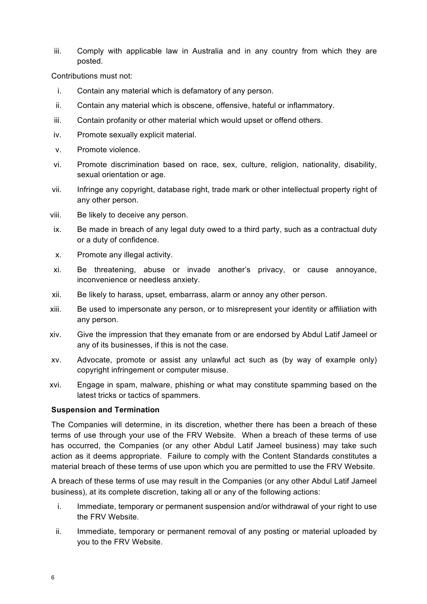iii. Comply with applicable law in Australia and in any country from which they are posted.

Contributions must not:

- i. Contain any material which is defamatory of any person.
- ii. Contain any material which is obscene, offensive, hateful or inflammatory.
- iii. Contain profanity or other material which would upset or offend others.
- iv. Promote sexually explicit material.
- v. Promote violence.
- vi. Promote discrimination based on race, sex, culture, religion, nationality, disability, sexual orientation or age.
- vii. Infringe any copyright, database right, trade mark or other intellectual property right of any other person.
- viii. Be likely to deceive any person.
- ix. Be made in breach of any legal duty owed to a third party, such as a contractual duty or a duty of confidence.
- x. Promote any illegal activity.
- xi. Be threatening, abuse or invade another's privacy, or cause annoyance, inconvenience or needless anxiety.
- xii. Be likely to harass, upset, embarrass, alarm or annoy any other person.
- xiii. Be used to impersonate any person, or to misrepresent your identity or affiliation with any person.
- xiv. Give the impression that they emanate from or are endorsed by Abdul Latif Jameel or any of its businesses, if this is not the case.
- xv. Advocate, promote or assist any unlawful act such as (by way of example only) copyright infringement or computer misuse.
- xvi. Engage in spam, malware, phishing or what may constitute spamming based on the latest tricks or tactics of spammers.

#### **Suspension and Termination**

The Companies will determine, in its discretion, whether there has been a breach of these terms of use through your use of the FRV Website. When a breach of these terms of use has occurred, the Companies (or any other Abdul Latif Jameel business) may take such action as it deems appropriate. Failure to comply with the Content Standards constitutes a material breach of these terms of use upon which you are permitted to use the FRV Website.

A breach of these terms of use may result in the Companies (or any other Abdul Latif Jameel business), at its complete discretion, taking all or any of the following actions:

- i. Immediate, temporary or permanent suspension and/or withdrawal of your right to use the FRV Website.
- ii. Immediate, temporary or permanent removal of any posting or material uploaded by you to the FRV Website.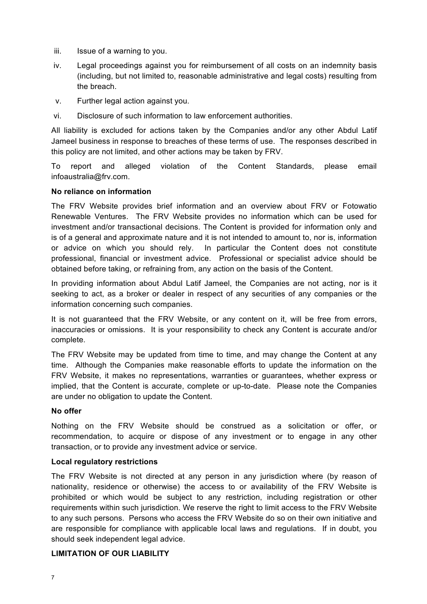- iii. Issue of a warning to you.
- iv. Legal proceedings against you for reimbursement of all costs on an indemnity basis (including, but not limited to, reasonable administrative and legal costs) resulting from the breach.
- v. Further legal action against you.
- vi. Disclosure of such information to law enforcement authorities.

All liability is excluded for actions taken by the Companies and/or any other Abdul Latif Jameel business in response to breaches of these terms of use. The responses described in this policy are not limited, and other actions may be taken by FRV.

To report and alleged violation of the Content Standards, please email infoaustralia@frv.com.

### **No reliance on information**

The FRV Website provides brief information and an overview about FRV or Fotowatio Renewable Ventures. The FRV Website provides no information which can be used for investment and/or transactional decisions. The Content is provided for information only and is of a general and approximate nature and it is not intended to amount to, nor is, information or advice on which you should rely. In particular the Content does not constitute professional, financial or investment advice. Professional or specialist advice should be obtained before taking, or refraining from, any action on the basis of the Content.

In providing information about Abdul Latif Jameel, the Companies are not acting, nor is it seeking to act, as a broker or dealer in respect of any securities of any companies or the information concerning such companies.

It is not guaranteed that the FRV Website, or any content on it, will be free from errors, inaccuracies or omissions. It is your responsibility to check any Content is accurate and/or complete.

The FRV Website may be updated from time to time, and may change the Content at any time. Although the Companies make reasonable efforts to update the information on the FRV Website, it makes no representations, warranties or guarantees, whether express or implied, that the Content is accurate, complete or up-to-date. Please note the Companies are under no obligation to update the Content.

#### **No offer**

Nothing on the FRV Website should be construed as a solicitation or offer, or recommendation, to acquire or dispose of any investment or to engage in any other transaction, or to provide any investment advice or service.

#### **Local regulatory restrictions**

The FRV Website is not directed at any person in any jurisdiction where (by reason of nationality, residence or otherwise) the access to or availability of the FRV Website is prohibited or which would be subject to any restriction, including registration or other requirements within such jurisdiction. We reserve the right to limit access to the FRV Website to any such persons. Persons who access the FRV Website do so on their own initiative and are responsible for compliance with applicable local laws and regulations. If in doubt, you should seek independent legal advice.

# **LIMITATION OF OUR LIABILITY**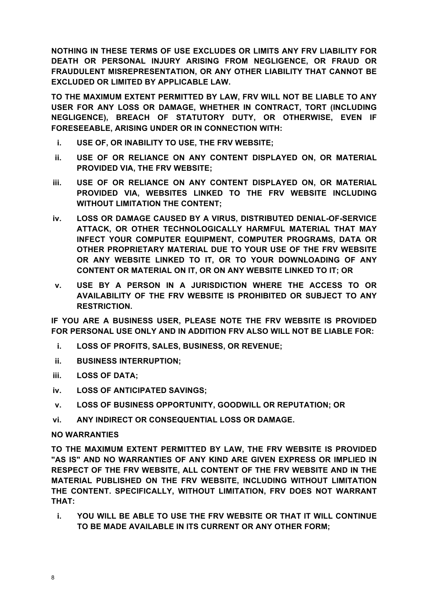**NOTHING IN THESE TERMS OF USE EXCLUDES OR LIMITS ANY FRV LIABILITY FOR DEATH OR PERSONAL INJURY ARISING FROM NEGLIGENCE, OR FRAUD OR FRAUDULENT MISREPRESENTATION, OR ANY OTHER LIABILITY THAT CANNOT BE EXCLUDED OR LIMITED BY APPLICABLE LAW.**

**TO THE MAXIMUM EXTENT PERMITTED BY LAW, FRV WILL NOT BE LIABLE TO ANY USER FOR ANY LOSS OR DAMAGE, WHETHER IN CONTRACT, TORT (INCLUDING NEGLIGENCE), BREACH OF STATUTORY DUTY, OR OTHERWISE, EVEN IF FORESEEABLE, ARISING UNDER OR IN CONNECTION WITH:**

- **i. USE OF, OR INABILITY TO USE, THE FRV WEBSITE;**
- **ii. USE OF OR RELIANCE ON ANY CONTENT DISPLAYED ON, OR MATERIAL PROVIDED VIA, THE FRV WEBSITE;**
- **iii. USE OF OR RELIANCE ON ANY CONTENT DISPLAYED ON, OR MATERIAL PROVIDED VIA, WEBSITES LINKED TO THE FRV WEBSITE INCLUDING WITHOUT LIMITATION THE CONTENT;**
- **iv. LOSS OR DAMAGE CAUSED BY A VIRUS, DISTRIBUTED DENIAL-OF-SERVICE ATTACK, OR OTHER TECHNOLOGICALLY HARMFUL MATERIAL THAT MAY INFECT YOUR COMPUTER EQUIPMENT, COMPUTER PROGRAMS, DATA OR OTHER PROPRIETARY MATERIAL DUE TO YOUR USE OF THE FRV WEBSITE OR ANY WEBSITE LINKED TO IT, OR TO YOUR DOWNLOADING OF ANY CONTENT OR MATERIAL ON IT, OR ON ANY WEBSITE LINKED TO IT; OR**
- **v. USE BY A PERSON IN A JURISDICTION WHERE THE ACCESS TO OR AVAILABILITY OF THE FRV WEBSITE IS PROHIBITED OR SUBJECT TO ANY RESTRICTION.**

**IF YOU ARE A BUSINESS USER, PLEASE NOTE THE FRV WEBSITE IS PROVIDED FOR PERSONAL USE ONLY AND IN ADDITION FRV ALSO WILL NOT BE LIABLE FOR:**

- **i. LOSS OF PROFITS, SALES, BUSINESS, OR REVENUE;**
- **ii. BUSINESS INTERRUPTION;**
- **iii. LOSS OF DATA;**
- **iv. LOSS OF ANTICIPATED SAVINGS;**
- **v. LOSS OF BUSINESS OPPORTUNITY, GOODWILL OR REPUTATION; OR**
- **vi. ANY INDIRECT OR CONSEQUENTIAL LOSS OR DAMAGE.**

# **NO WARRANTIES**

**TO THE MAXIMUM EXTENT PERMITTED BY LAW, THE FRV WEBSITE IS PROVIDED "AS IS" AND NO WARRANTIES OF ANY KIND ARE GIVEN EXPRESS OR IMPLIED IN RESPECT OF THE FRV WEBSITE, ALL CONTENT OF THE FRV WEBSITE AND IN THE MATERIAL PUBLISHED ON THE FRV WEBSITE, INCLUDING WITHOUT LIMITATION THE CONTENT. SPECIFICALLY, WITHOUT LIMITATION, FRV DOES NOT WARRANT THAT:** 

**i. YOU WILL BE ABLE TO USE THE FRV WEBSITE OR THAT IT WILL CONTINUE TO BE MADE AVAILABLE IN ITS CURRENT OR ANY OTHER FORM;**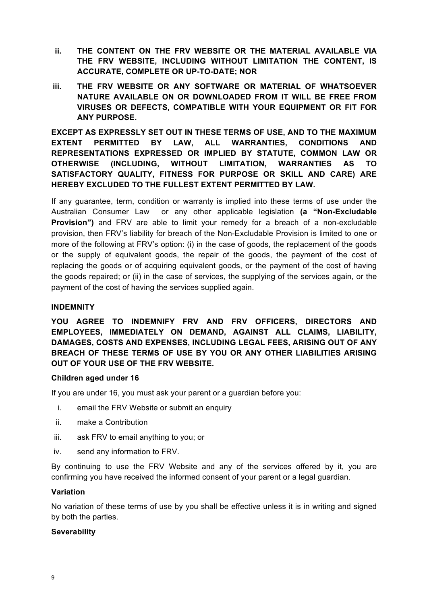- **ii. THE CONTENT ON THE FRV WEBSITE OR THE MATERIAL AVAILABLE VIA THE FRV WEBSITE, INCLUDING WITHOUT LIMITATION THE CONTENT, IS ACCURATE, COMPLETE OR UP-TO-DATE; NOR**
- **iii. THE FRV WEBSITE OR ANY SOFTWARE OR MATERIAL OF WHATSOEVER NATURE AVAILABLE ON OR DOWNLOADED FROM IT WILL BE FREE FROM VIRUSES OR DEFECTS, COMPATIBLE WITH YOUR EQUIPMENT OR FIT FOR ANY PURPOSE.**

**EXCEPT AS EXPRESSLY SET OUT IN THESE TERMS OF USE, AND TO THE MAXIMUM EXTENT PERMITTED BY LAW, ALL WARRANTIES, CONDITIONS AND REPRESENTATIONS EXPRESSED OR IMPLIED BY STATUTE, COMMON LAW OR OTHERWISE (INCLUDING, WITHOUT LIMITATION, WARRANTIES AS TO SATISFACTORY QUALITY, FITNESS FOR PURPOSE OR SKILL AND CARE) ARE HEREBY EXCLUDED TO THE FULLEST EXTENT PERMITTED BY LAW.**

If any guarantee, term, condition or warranty is implied into these terms of use under the Australian Consumer Law or any other applicable legislation **(a "Non-Excludable Provision")** and FRV are able to limit your remedy for a breach of a non-excludable provision, then FRV's liability for breach of the Non-Excludable Provision is limited to one or more of the following at FRV's option: (i) in the case of goods, the replacement of the goods or the supply of equivalent goods, the repair of the goods, the payment of the cost of replacing the goods or of acquiring equivalent goods, or the payment of the cost of having the goods repaired; or (ii) in the case of services, the supplying of the services again, or the payment of the cost of having the services supplied again.

# **INDEMNITY**

**YOU AGREE TO INDEMNIFY FRV AND FRV OFFICERS, DIRECTORS AND EMPLOYEES, IMMEDIATELY ON DEMAND, AGAINST ALL CLAIMS, LIABILITY, DAMAGES, COSTS AND EXPENSES, INCLUDING LEGAL FEES, ARISING OUT OF ANY BREACH OF THESE TERMS OF USE BY YOU OR ANY OTHER LIABILITIES ARISING OUT OF YOUR USE OF THE FRV WEBSITE.**

#### **Children aged under 16**

If you are under 16, you must ask your parent or a guardian before you:

- i. email the FRV Website or submit an enquiry
- ii. make a Contribution
- iii. ask FRV to email anything to you; or
- iv. send any information to FRV.

By continuing to use the FRV Website and any of the services offered by it, you are confirming you have received the informed consent of your parent or a legal guardian.

#### **Variation**

No variation of these terms of use by you shall be effective unless it is in writing and signed by both the parties.

### **Severability**